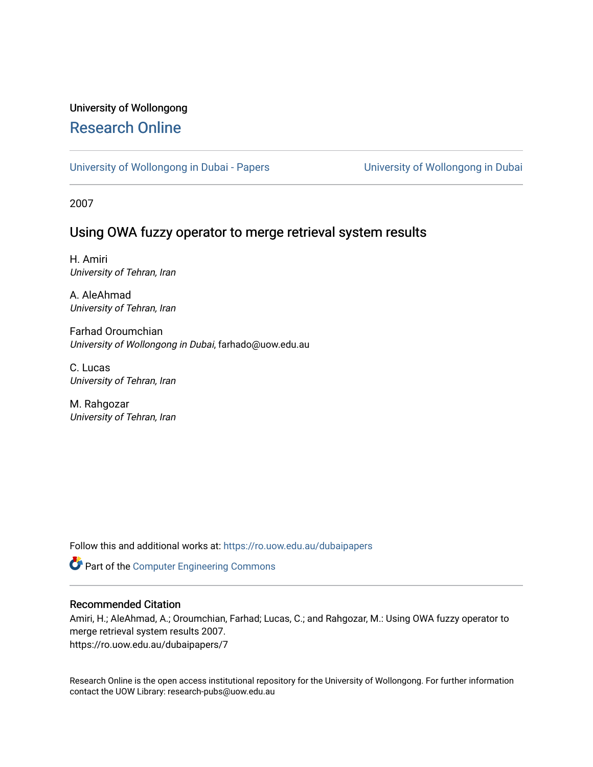# University of Wollongong [Research Online](https://ro.uow.edu.au/)

[University of Wollongong in Dubai - Papers](https://ro.uow.edu.au/dubaipapers) **University of Wollongong in Dubai** 

2007

## Using OWA fuzzy operator to merge retrieval system results

H. Amiri University of Tehran, Iran

A. AleAhmad University of Tehran, Iran

Farhad Oroumchian University of Wollongong in Dubai, farhado@uow.edu.au

C. Lucas University of Tehran, Iran

M. Rahgozar University of Tehran, Iran

Follow this and additional works at: [https://ro.uow.edu.au/dubaipapers](https://ro.uow.edu.au/dubaipapers?utm_source=ro.uow.edu.au%2Fdubaipapers%2F7&utm_medium=PDF&utm_campaign=PDFCoverPages) 

Part of the [Computer Engineering Commons](http://network.bepress.com/hgg/discipline/258?utm_source=ro.uow.edu.au%2Fdubaipapers%2F7&utm_medium=PDF&utm_campaign=PDFCoverPages) 

## Recommended Citation

Amiri, H.; AleAhmad, A.; Oroumchian, Farhad; Lucas, C.; and Rahgozar, M.: Using OWA fuzzy operator to merge retrieval system results 2007. https://ro.uow.edu.au/dubaipapers/7

Research Online is the open access institutional repository for the University of Wollongong. For further information contact the UOW Library: research-pubs@uow.edu.au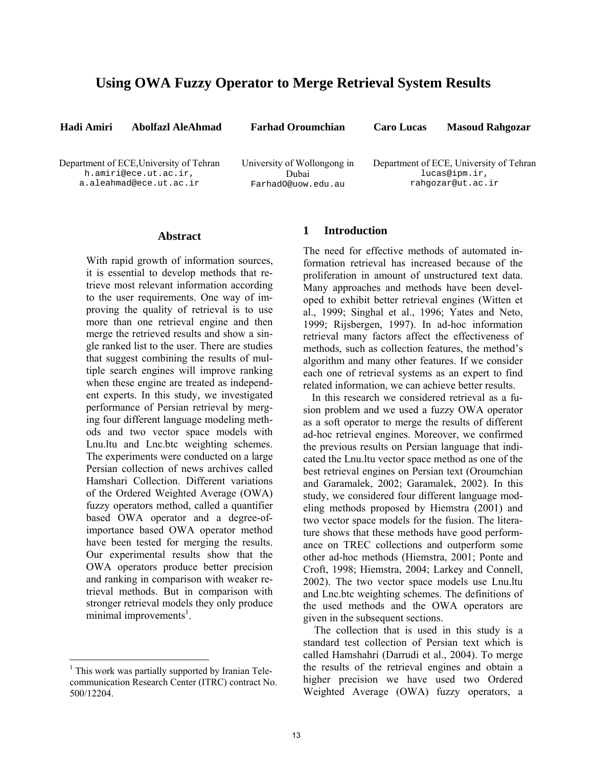## **Using OWA Fuzzy Operator to Merge Retrieval System Results**

**Hadi Amiri Abolfazl AleAhmad Farhad Oroumchian Caro Lucas Masoud Rahgozar** 

Department of ECE,University of Tehran h.amiri@ece.ut.ac.ir, a.aleahmad@ece.ut.ac.ir

University of Wollongong in Dubai FarhadO@uow.edu.au

Department of ECE, University of Tehran lucas@ipm.ir, rahgozar@ut.ac.ir

#### **Abstract**

With rapid growth of information sources, it is essential to develop methods that retrieve most relevant information according to the user requirements. One way of improving the quality of retrieval is to use more than one retrieval engine and then merge the retrieved results and show a single ranked list to the user. There are studies that suggest combining the results of multiple search engines will improve ranking when these engine are treated as independent experts. In this study, we investigated performance of Persian retrieval by merging four different language modeling methods and two vector space models with Lnu.ltu and Lnc.btc weighting schemes. The experiments were conducted on a large Persian collection of news archives called Hamshari Collection. Different variations of the Ordered Weighted Average (OWA) fuzzy operators method, called a quantifier based OWA operator and a degree-ofimportance based OWA operator method have been tested for merging the results. Our experimental results show that the OWA operators produce better precision and ranking in comparison with weaker retrieval methods. But in comparison with stronger retrieval models they only produce minimal improvements<sup>1</sup>.

### **1 Introduction**

The need for effective methods of automated information retrieval has increased because of the proliferation in amount of unstructured text data. Many approaches and methods have been developed to exhibit better retrieval engines (Witten et al., 1999; Singhal et al., 1996; Yates and Neto, 1999; Rijsbergen, 1997). In ad-hoc information retrieval many factors affect the effectiveness of methods, such as collection features, the method's algorithm and many other features. If we consider each one of retrieval systems as an expert to find related information, we can achieve better results.

In this research we considered retrieval as a fusion problem and we used a fuzzy OWA operator as a soft operator to merge the results of different ad-hoc retrieval engines. Moreover, we confirmed the previous results on Persian language that indicated the Lnu.ltu vector space method as one of the best retrieval engines on Persian text (Oroumchian and Garamalek, 2002; Garamalek, 2002). In this study, we considered four different language modeling methods proposed by Hiemstra (2001) and two vector space models for the fusion. The literature shows that these methods have good performance on TREC collections and outperform some other ad-hoc methods (Hiemstra, 2001; Ponte and Croft, 1998; Hiemstra, 2004; Larkey and Connell, 2002). The two vector space models use Lnu.ltu and Lnc.btc weighting schemes. The definitions of the used methods and the OWA operators are given in the subsequent sections.

The collection that is used in this study is a standard test collection of Persian text which is called Hamshahri (Darrudi et al., 2004). To merge the results of the retrieval engines and obtain a higher precision we have used two Ordered Weighted Average (OWA) fuzzy operators, a

<sup>&</sup>lt;sup>1</sup> This work was partially supported by Iranian Telecommunication Research Center (ITRC) contract No. 500/12204.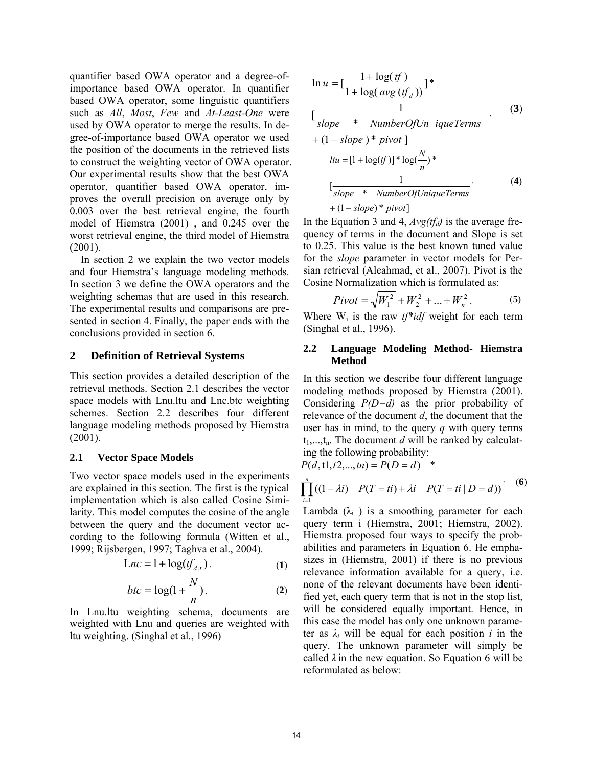quantifier based OWA operator and a degree-ofimportance based OWA operator. In quantifier based OWA operator, some linguistic quantifiers such as *All*, *Most*, *Few* and *At-Least-One* were used by OWA operator to merge the results. In degree-of-importance based OWA operator we used the position of the documents in the retrieved lists to construct the weighting vector of OWA operator. Our experimental results show that the best OWA operator, quantifier based OWA operator, improves the overall precision on average only by 0.003 over the best retrieval engine, the fourth model of Hiemstra (2001) , and 0.245 over the worst retrieval engine, the third model of Hiemstra  $(2001)$ .

In section 2 we explain the two vector models and four Hiemstra's language modeling methods. In section 3 we define the OWA operators and the weighting schemas that are used in this research. The experimental results and comparisons are presented in section 4. Finally, the paper ends with the conclusions provided in section 6.

### **2 Definition of Retrieval Systems**

This section provides a detailed description of the retrieval methods. Section 2.1 describes the vector space models with Lnu.ltu and Lnc.btc weighting schemes. Section 2.2 describes four different language modeling methods proposed by Hiemstra (2001).

## **2.1 Vector Space Models**

Two vector space models used in the experiments are explained in this section. The first is the typical implementation which is also called Cosine Similarity. This model computes the cosine of the angle between the query and the document vector according to the following formula (Witten et al., 1999; Rijsbergen, 1997; Taghva et al., 2004).

$$
Lnc = 1 + \log(f_{d,t}). \tag{1}
$$

$$
btc = \log(1 + \frac{N}{n}).
$$
 (2)

In Lnu.ltu weighting schema, documents are weighted with Lnu and queries are weighted with ltu weighting. (Singhal et al., 1996)

$$
\ln u = \left[\frac{1 + \log(t)}{1 + \log(\text{avg }(tf_a))}\right]^{*}
$$
\n
$$
\left[\frac{1}{slope * NumberOfUn \text{ }iquerTerms}\right]^{*}
$$
\n
$$
+(1 - slope) * pivot \right]
$$
\n
$$
ltu = [1 + \log(t)]^{*} \log(\frac{N}{n})^{*}
$$
\n
$$
\left[\frac{1}{slope * NumberOfUniqueTerms}\right]^{*}
$$
\n
$$
+(1 - slope) * pivot]
$$
\n(4)

In the Equation 3 and 4,  $Avg(tf_d)$  is the average frequency of terms in the document and Slope is set to 0.25. This value is the best known tuned value for the *slope* parameter in vector models for Persian retrieval (Aleahmad, et al., 2007). Pivot is the Cosine Normalization which is formulated as:

$$
Pivot = \sqrt{W_1^2 + W_2^2 + ... + W_n^2}.
$$
 (5)

Where  $W_i$  is the raw  $tf^*idf$  weight for each term (Singhal et al., 1996).

#### **2.2 Language Modeling Method- Hiemstra Method**

In this section we describe four different language modeling methods proposed by Hiemstra (2001). Considering *P(D=d)* as the prior probability of relevance of the document *d*, the document that the user has in mind, to the query *q* with query terms  $t_1,...,t_n$ . The document *d* will be ranked by calculating the following probability:

$$
P(d, t1, t2, \dots, tn) = P(D = d) *
$$

$$
\prod_{i=1}^{n} ((1 - \lambda i) P(T = ti) + \lambda i P(T = ti | D = d))
$$
 (6)

Lambda  $(\lambda_i)$  is a smoothing parameter for each query term i (Hiemstra, 2001; Hiemstra, 2002). Hiemstra proposed four ways to specify the probabilities and parameters in Equation 6. He emphasizes in (Hiemstra, 2001) if there is no previous relevance information available for a query, i.e. none of the relevant documents have been identified yet, each query term that is not in the stop list, will be considered equally important. Hence, in this case the model has only one unknown parameter as  $\lambda_i$  will be equal for each position *i* in the query. The unknown parameter will simply be called  $\lambda$  in the new equation. So Equation 6 will be reformulated as below: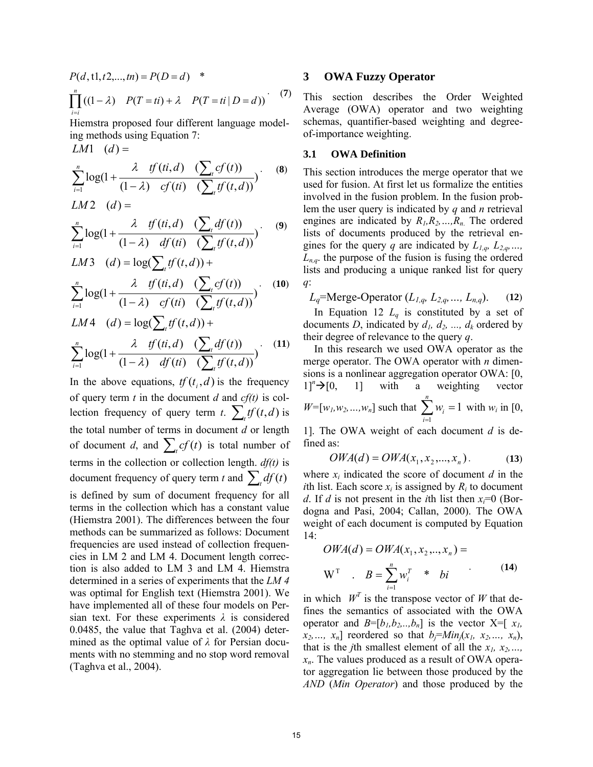$\prod_{i=i}^{n} ((1 - \lambda) P(T = ti) + \lambda P(T = ti | D =$  $P(d, t1, t2, \ldots, tn) = P(D = d)$  \*  $i = i$  $f((1 - \lambda) \quad P(T = ti) + \lambda \quad P(T = ti | D = d))$ <sup>(7)</sup>

Hiemstra proposed four different language modeling methods using Equation 7:  $LM1$   $(d) =$ 

 $\sum_{i=1} \log(1+\frac{\lambda}{(1-\lambda)}\frac{g'(it, u)}{cf(t)} \cdot (\sum_{i=1}^{n}$ ∑  $\sum_{=1}$  log(1 +  $\frac{1}{(1-\frac{1}{2})}$ *n i*=1  $(1 - \lambda)$  *Cf*  $(u)$   $(\sum_{t}$ *t*  $cf(ti)$   $(\sum tf(t, d$  $tf(ti,d)$   $(\sum cf(t$ 1 )  $(1-\lambda)$  cf(ti)  $(\sum tf(t,d))$  $\log(1+\frac{\lambda~\mathit{tf}(ti,d)~(\sum_{i}cf(t))}{(1-\lambda)~\mathit{cf}(ti)~(\sum_{i}tf(t,a))}$  $\lambda$  if  $(ti,d)$   $(\sum_{t} cf(t))$  (8)  $LM2$  (d)=

$$
\sum_{i=1}^{n} \log\left(1 + \frac{\lambda \quad tf(it,d) \quad (\sum_{t} df(t))}{(1-\lambda) \quad df(it) \quad (\sum_{t} tf(t,d))}\right)
$$
 (9)

$$
LM3 \quad (d) = \log(\sum_{t} tf(t, d)) +
$$
\n
$$
\sum_{i=1}^{n} \log(1 + \frac{\lambda \quad tf(ti, d) \quad (\sum_{t} cf(t))}{(1 - \lambda) \quad cf(ti) \quad (\sum_{t} tf(t, d))}) \quad (10)
$$

$$
LM4 \quad (d) = \log(\sum_{t} tf(t, d)) +
$$
  

$$
\sum_{i=1}^{n} \log(1 + \frac{\lambda \quad tf(ti, d) \quad (\sum_{t} df(t))}{(1 - \lambda) \quad df(ti) \quad (\sum_{t} tf(t, d))})
$$
(11)

In the above equations,  $tf(t_i, d)$  is the frequency of query term *t* in the document *d* and *cf(t)* is collection frequency of query term *t*.  $\sum_{i} tf(t, d)$  is the total number of terms in document *d* or length of document *d*, and  $\sum_{i} cf(t)$  is total number of terms in the collection or collection length. *df(t)* is document frequency of query term *t* and  $\sum_{i} df(t)$ is defined by sum of document frequency for all terms in the collection which has a constant value (Hiemstra 2001). The differences between the four methods can be summarized as follows: Document frequencies are used instead of collection frequencies in LM 2 and LM 4. Document length correction is also added to LM 3 and LM 4. Hiemstra determined in a series of experiments that the *LM 4* was optimal for English text (Hiemstra 2001). We have implemented all of these four models on Persian text. For these experiments *λ* is considered 0.0485, the value that Taghva et al. (2004) determined as the optimal value of *λ* for Persian documents with no stemming and no stop word removal (Taghva et al., 2004).

#### **3 OWA Fuzzy Operator**

This section describes the Order Weighted Average (OWA) operator and two weighting schemas, quantifier-based weighting and degreeof-importance weighting.

### **3.1 OWA Definition**

This section introduces the merge operator that we used for fusion. At first let us formalize the entities involved in the fusion problem. In the fusion problem the user query is indicated by *q* and *n* retrieval engines are indicated by *R1,R2,…,Rn*. The ordered lists of documents produced by the retrieval engines for the query *q* are indicated by  $L_{1,q}$ ,  $L_{2,q}$ , ...  $L_{n,q}$  the purpose of the fusion is fusing the ordered lists and producing a unique ranked list for query *q*:

$$
L_q
$$
=Merge-Operator  $(L_{1,q}, L_{2,q}, ..., L_{n,q})$ . (12)

In Equation 12  $L_q$  is constituted by a set of documents *D*, indicated by  $d_1$ ,  $d_2$ , ...,  $d_k$  ordered by their degree of relevance to the query *q*.

In this research we used OWA operator as the merge operator. The OWA operator with *n* dimensions is a nonlinear aggregation operator OWA: [0,  $1$ <sup>n</sup> $\rightarrow$  [0, 1] with a weighting vector  $W=[w_1, w_2, ..., w_n]$  such that  $\sum_{i=1}^n w_i =$ *n i wi* 1 1 with  $w_i$  in [0,

1]. The OWA weight of each document *d* is defined as:

$$
OWA(d) = OWA(x_1, x_2, ..., x_n).
$$
 (13)

where  $x_i$  indicated the score of document  $d$  in the *i*th list. Each score  $x_i$  is assigned by  $R_i$  to document *d*. If *d* is not present in the *i*th list then  $x_i=0$  (Bordogna and Pasi, 2004; Callan, 2000). The OWA weight of each document is computed by Equation  $14:$ 

$$
OWA(d) = OWA(x_1, x_2, ..., x_n) =
$$
  
W<sup>T</sup> .  $B = \sum_{i=1}^{n} w_i^T * bi$  (14)

in which  $W^T$  is the transpose vector of W that defines the semantics of associated with the OWA operator and  $B=[b_1,b_2,..,b_n]$  is the vector  $X=[x_1, a_2,..,b_n]$  $x_2, ..., x_n$  reordered so that  $b_i = Min_i(x_1, x_2, ..., x_n)$ , that is the *j*th smallest element of all the  $x_1, x_2, \ldots$ , *xn*. The values produced as a result of OWA operator aggregation lie between those produced by the *AND* (*Min Operator*) and those produced by the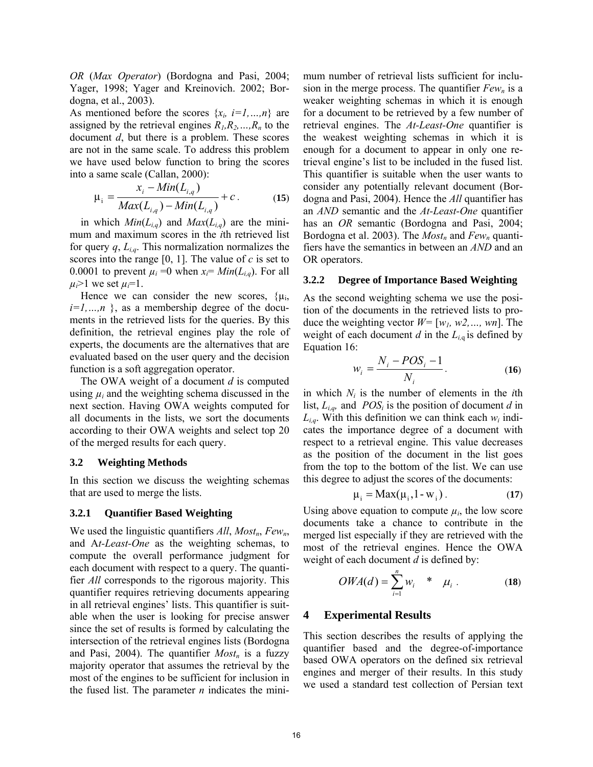*OR* (*Max Operator*) (Bordogna and Pasi, 2004; Yager, 1998; Yager and Kreinovich. 2002; Bordogna, et al., 2003).

As mentioned before the scores  $\{x_i, i=1,...,n\}$  are assigned by the retrieval engines  $R_1, R_2, \ldots, R_n$  to the document *d*, but there is a problem. These scores are not in the same scale. To address this problem we have used below function to bring the scores into a same scale (Callan, 2000):

$$
\mu_{i} = \frac{x_{i} - Min(L_{i,q})}{Max(L_{i,q}) - Min(L_{i,q})} + c.
$$
 (15)

in which  $Min(L_{i,q})$  and  $Max(L_{i,q})$  are the minimum and maximum scores in the *i*th retrieved list for query  $q, L_{i,q}$ . This normalization normalizes the scores into the range [0, 1]. The value of *c* is set to 0.0001 to prevent  $\mu_i = 0$  when  $x_i = Min(L_{i,q})$ . For all  $\mu_i$ >1 we set  $\mu_i$ =1.

Hence we can consider the new scores,  $\{\mu_i, \sigma_j\}$  $i=1,...,n$  }, as a membership degree of the documents in the retrieved lists for the queries. By this definition, the retrieval engines play the role of experts, the documents are the alternatives that are evaluated based on the user query and the decision function is a soft aggregation operator.

The OWA weight of a document *d* is computed using  $\mu_i$  and the weighting schema discussed in the next section. Having OWA weights computed for all documents in the lists, we sort the documents according to their OWA weights and select top 20 of the merged results for each query.

#### **3.2 Weighting Methods**

In this section we discuss the weighting schemas that are used to merge the lists.

#### **3.2.1 Quantifier Based Weighting**

We used the linguistic quantifiers *All*, *Most<sub>n</sub>*, *Few<sub>n</sub>*, and A*t-Least-One* as the weighting schemas, to compute the overall performance judgment for each document with respect to a query. The quantifier *All* corresponds to the rigorous majority. This quantifier requires retrieving documents appearing in all retrieval engines' lists. This quantifier is suitable when the user is looking for precise answer since the set of results is formed by calculating the intersection of the retrieval engines lists (Bordogna and Pasi, 2004). The quantifier  $Most_n$  is a fuzzy majority operator that assumes the retrieval by the most of the engines to be sufficient for inclusion in the fused list. The parameter *n* indicates the minimum number of retrieval lists sufficient for inclusion in the merge process. The quantifier  $Few_n$  is a weaker weighting schemas in which it is enough for a document to be retrieved by a few number of retrieval engines. The *At-Least-One* quantifier is the weakest weighting schemas in which it is enough for a document to appear in only one retrieval engine's list to be included in the fused list. This quantifier is suitable when the user wants to consider any potentially relevant document (Bordogna and Pasi, 2004). Hence the *All* quantifier has an *AND* semantic and the *At-Least-One* quantifier has an *OR* semantic (Bordogna and Pasi, 2004; Bordogna et al. 2003). The *Most<sub>n</sub>* and *Few<sub>n</sub>* quantifiers have the semantics in between an *AND* and an OR operators.

#### **3.2.2 Degree of Importance Based Weighting**

As the second weighting schema we use the position of the documents in the retrieved lists to produce the weighting vector *W=* [*w1, w2,…, wn*]. The weight of each document  $d$  in the  $L_{i,q}$  is defined by Equation 16:

$$
w_i = \frac{N_i - POS_i - 1}{N_i}.
$$
 (16)

in which  $N_i$  is the number of elements in the *i*th list,  $L_{i,q}$ , and  $POS_i$  is the position of document *d* in  $L_{i,q}$ . With this definition we can think each  $w_i$  indicates the importance degree of a document with respect to a retrieval engine. This value decreases as the position of the document in the list goes from the top to the bottom of the list. We can use this degree to adjust the scores of the documents:

$$
\mu_{i} = \text{Max}(\mu_{i}, 1 - w_{i}). \tag{17}
$$

Using above equation to compute  $\mu_i$ , the low score documents take a chance to contribute in the merged list especially if they are retrieved with the most of the retrieval engines. Hence the OWA weight of each document *d* is defined by:

$$
OWA(d) = \sum_{i=1}^{n} w_i * \mu_i.
$$
 (18)

## **4 Experimental Results**

This section describes the results of applying the quantifier based and the degree-of-importance based OWA operators on the defined six retrieval engines and merger of their results. In this study we used a standard test collection of Persian text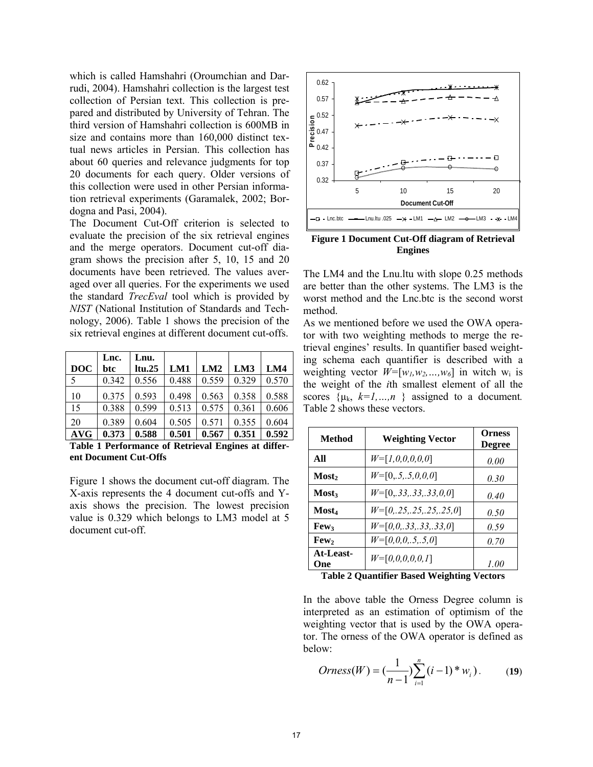which is called Hamshahri (Oroumchian and Darrudi, 2004). Hamshahri collection is the largest test collection of Persian text. This collection is prepared and distributed by University of Tehran. The third version of Hamshahri collection is 600MB in size and contains more than 160,000 distinct textual news articles in Persian. This collection has about 60 queries and relevance judgments for top 20 documents for each query. Older versions of this collection were used in other Persian information retrieval experiments (Garamalek, 2002; Bordogna and Pasi, 2004).

The Document Cut-Off criterion is selected to evaluate the precision of the six retrieval engines and the merge operators. Document cut-off diagram shows the precision after 5, 10, 15 and 20 documents have been retrieved. The values averaged over all queries. For the experiments we used the standard *TrecEval* tool which is provided by *NIST* (National Institution of Standards and Technology, 2006). Table 1 shows the precision of the six retrieval engines at different document cut-offs.

| <b>DOC</b> | Lnc.<br>btc | Lnu.<br>ltu.25 | LM1   | LM2   | LM3   | LM4   |
|------------|-------------|----------------|-------|-------|-------|-------|
| 5          | 0.342       | 0.556          | 0.488 | 0.559 | 0.329 | 0.570 |
| 10         | 0.375       | 0.593          | 0.498 | 0.563 | 0.358 | 0.588 |
| 15         | 0.388       | 0.599          | 0.513 | 0.575 | 0.361 | 0.606 |
| 20         | 0.389       | 0.604          | 0.505 | 0.571 | 0.355 | 0.604 |
| <b>AVG</b> | 0.373       | 0.588          | 0.501 | 0.567 | 0.351 | 0.592 |

**Table 1 Performance of Retrieval Engines at different Document Cut-Offs**

Figure 1 shows the document cut-off diagram. The X-axis represents the 4 document cut-offs and Yaxis shows the precision. The lowest precision value is 0.329 which belongs to LM3 model at 5 document cut-off.



**Figure 1 Document Cut-Off diagram of Retrieval Engines** 

The LM4 and the Lnu.ltu with slope 0.25 methods are better than the other systems. The LM3 is the worst method and the Lnc.btc is the second worst method.

As we mentioned before we used the OWA operator with two weighting methods to merge the retrieval engines' results. In quantifier based weighting schema each quantifier is described with a weighting vector  $W=[w_1,w_2,...,w_6]$  in witch  $w_i$  is the weight of the *i*th smallest element of all the scores  $\{\mu_k, k=1,...,n\}$  assigned to a document. Table 2 shows these vectors.

| Method            | <b>Weighting Vector</b>   | <b>Orness</b><br><b>Degree</b> |
|-------------------|---------------------------|--------------------------------|
| All               | $W=[1,0,0,0,0,0]$         | 0.00                           |
| Most,             | $W=[0, 5, 0, 0, 0]$       | 0.30                           |
| <b>Most</b>       | $W=[0, 33, 33, 33, 0, 0]$ | 0.40                           |
| Most <sub>4</sub> | $W=[0,.25,.25,.25,.25,0]$ | 0.50                           |
| <b>Few</b>        | $W=[0,0,.33,.33,.33,0]$   | 0.59                           |
| Few,              | $W=[0,0,0,.5,.5,0]$       | 0.70                           |
| At-Least-<br>One  | $W=[0,0,0,0,0,1]$         | 1.00                           |

**Table 2 Quantifier Based Weighting Vectors** 

In the above table the Orness Degree column is interpreted as an estimation of optimism of the weighting vector that is used by the OWA operator. The orness of the OWA operator is defined as below:

*Orness*(*W*) = 
$$
(\frac{1}{n-1})\sum_{i=1}^{n} (i-1)^* w_i
$$
). (19)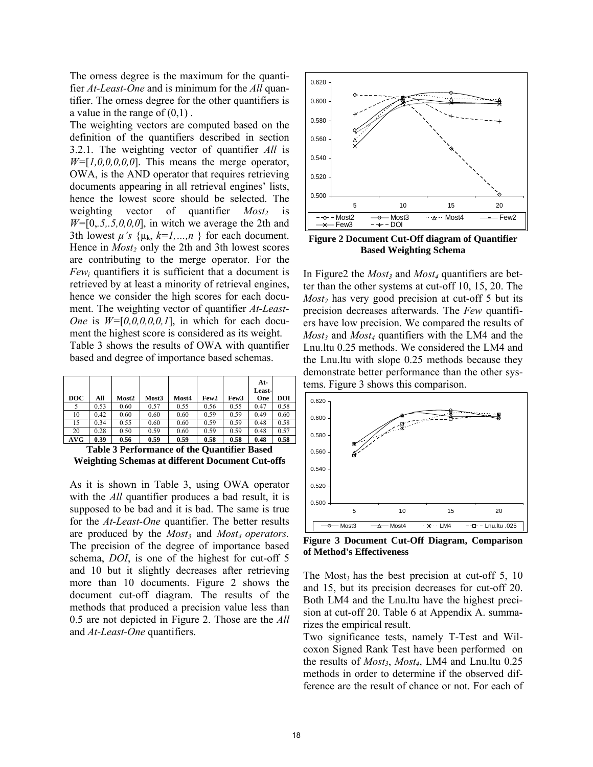The orness degree is the maximum for the quantifier *At-Least-One* and is minimum for the *All* quantifier. The orness degree for the other quantifiers is a value in the range of  $(0,1)$ .

The weighting vectors are computed based on the definition of the quantifiers described in section 3.2.1. The weighting vector of quantifier *All* is *W=*[*1,0,0,0,0,0*]. This means the merge operator, OWA, is the AND operator that requires retrieving documents appearing in all retrieval engines' lists, hence the lowest score should be selected. The weighting vector of quantifier *Most*<sub>2</sub> is *W=*[0,*.5,.5,0,0,0*], in witch we average the 2th and 3th lowest  $\mu$ 's  $\{\mu_k, k=1,...,n\}$  for each document. Hence in *Most<sub>2</sub>* only the 2th and 3th lowest scores are contributing to the merge operator. For the  $Few_i$  quantifiers it is sufficient that a document is retrieved by at least a minority of retrieval engines, hence we consider the high scores for each document. The weighting vector of quantifier *At-Least-One* is  $W=[0,0,0,0,0,1]$ , in which for each document the highest score is considered as its weight. Table 3 shows the results of OWA with quantifier based and degree of importance based schemas.

| <b>DOC</b> | All  | Most2 | Most3 | Most4 | Few <sub>2</sub> | Few <sub>3</sub> | At-<br>Least-<br>One | <b>DOI</b> |
|------------|------|-------|-------|-------|------------------|------------------|----------------------|------------|
|            | 0.53 | 0.60  | 0.57  | 0.55  | 0.56             | 0.55             | 0.47                 | 0.58       |
| 10         | 0.42 | 0.60  | 0.60  | 0.60  | 0.59             | 0.59             | 0.49                 | 0.60       |
| 15         | 0.34 | 0.55  | 0.60  | 0.60  | 0.59             | 0.59             | 0.48                 | 0.58       |
| 20         | 0.28 | 0.50  | 0.59  | 0.60  | 0.59             | 0.59             | 0.48                 | 0.57       |
| AVG        | 0.39 | 0.56  | 0.59  | 0.59  | 0.58             | 0.58             | 0.48                 | 0.58       |

**Table 3 Performance of the Quantifier Based Weighting Schemas at different Document Cut-offs** 

As it is shown in Table 3, using OWA operator with the *All* quantifier produces a bad result, it is supposed to be bad and it is bad. The same is true for the *At-Least-One* quantifier. The better results are produced by the *Most<sub>3</sub>* and *Most<sub>4</sub> operators.* The precision of the degree of importance based schema, *DOI*, is one of the highest for cut-off 5 and 10 but it slightly decreases after retrieving more than 10 documents. Figure 2 shows the document cut-off diagram. The results of the methods that produced a precision value less than 0.5 are not depicted in Figure 2. Those are the *All* and *At-Least-One* quantifiers.



**Figure 2 Document Cut-Off diagram of Quantifier Based Weighting Schema** 

In Figure2 the *Most<sub>3</sub>* and *Most<sub>4</sub>* quantifiers are better than the other systems at cut-off 10, 15, 20. The *Most<sub>2</sub>* has very good precision at cut-off 5 but its precision decreases afterwards. The *Few* quantifiers have low precision. We compared the results of  $Most_3$  and  $Most_4$  quantifiers with the LM4 and the Lnu.ltu 0.25 methods. We considered the LM4 and the Lnu.ltu with slope 0.25 methods because they demonstrate better performance than the other systems. Figure 3 shows this comparison.



**Figure 3 Document Cut-Off Diagram, Comparison of Method's Effectiveness** 

The Most<sub>3</sub> has the best precision at cut-off  $5$ , 10 and 15, but its precision decreases for cut-off 20. Both LM4 and the Lnu.ltu have the highest precision at cut-off 20. Table 6 at Appendix A. summarizes the empirical result.

Two significance tests, namely T-Test and Wilcoxon Signed Rank Test have been performed on the results of *Most3*, *Most4*, LM4 and Lnu.ltu 0.25 methods in order to determine if the observed difference are the result of chance or not. For each of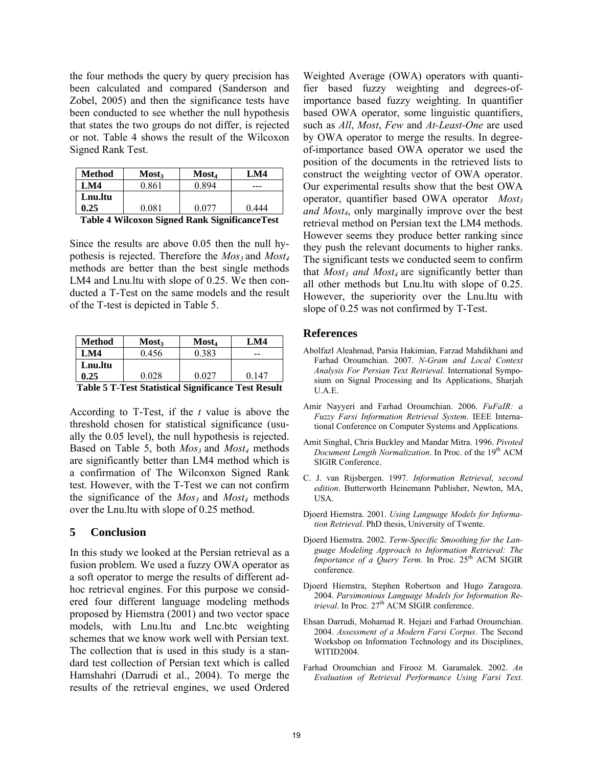the four methods the query by query precision has been calculated and compared (Sanderson and Zobel, 2005) and then the significance tests have been conducted to see whether the null hypothesis that states the two groups do not differ, is rejected or not. Table 4 shows the result of the Wilcoxon Signed Rank Test.

| <b>Method</b> | <b>Most</b> | Most <sub>4</sub> | I M4  |
|---------------|-------------|-------------------|-------|
| <b>LM4</b>    | 0.861       | N 894             | ---   |
| Lnu.ltu       |             |                   |       |
| 0.25          | 0.081       | በ በ77             | 0.444 |

|  |  | <b>Table 4 Wilcoxon Signed Rank Significance Test</b> |
|--|--|-------------------------------------------------------|
|  |  |                                                       |

Since the results are above 0.05 then the null hypothesis is rejected. Therefore the  $Mos_3$  and  $Most_4$ methods are better than the best single methods LM4 and Lnu.ltu with slope of 0.25. We then conducted a T-Test on the same models and the result of the T-test is depicted in Table 5.

| <b>Method</b>                                               | <b>Most</b> | <b>Most</b> <sub>4</sub> | LM4   |  |  |  |
|-------------------------------------------------------------|-------------|--------------------------|-------|--|--|--|
| LM4                                                         | 0.456       | 0.383                    | --    |  |  |  |
| Lnu.ltu                                                     |             |                          |       |  |  |  |
| 0.25                                                        | 0.028       | 0.027                    | 0 147 |  |  |  |
| <br>- --<br>--<br>. .<br>-- - -<br>$\overline{\phantom{a}}$ |             |                          |       |  |  |  |

**Table 5 T-Test Statistical Significance Test Result** 

According to T-Test, if the *t* value is above the threshold chosen for statistical significance (usually the 0.05 level), the null hypothesis is rejected. Based on Table 5, both  $Mos_3$  and  $Most_4$  methods are significantly better than LM4 method which is a confirmation of The Wilconxon Signed Rank test. However, with the T-Test we can not confirm the significance of the  $Mos_3$  and  $Most_4$  methods over the Lnu.ltu with slope of 0.25 method.

## **5 Conclusion**

In this study we looked at the Persian retrieval as a fusion problem. We used a fuzzy OWA operator as a soft operator to merge the results of different adhoc retrieval engines. For this purpose we considered four different language modeling methods proposed by Hiemstra (2001) and two vector space models, with Lnu.ltu and Lnc.btc weighting schemes that we know work well with Persian text. The collection that is used in this study is a standard test collection of Persian text which is called Hamshahri (Darrudi et al., 2004). To merge the results of the retrieval engines, we used Ordered Weighted Average (OWA) operators with quantifier based fuzzy weighting and degrees-ofimportance based fuzzy weighting. In quantifier based OWA operator, some linguistic quantifiers, such as *All*, *Most*, *Few* and *At-Least-One* are used by OWA operator to merge the results. In degreeof-importance based OWA operator we used the position of the documents in the retrieved lists to construct the weighting vector of OWA operator. Our experimental results show that the best OWA operator, quantifier based OWA operator *Most*<sub>3</sub> *and Most4*, only marginally improve over the best retrieval method on Persian text the LM4 methods. However seems they produce better ranking since they push the relevant documents to higher ranks. The significant tests we conducted seem to confirm that *Most<sub>3</sub> and Most<sub>4</sub>* are significantly better than all other methods but Lnu.ltu with slope of 0.25. However, the superiority over the Lnu.ltu with slope of 0.25 was not confirmed by T-Test.

#### **References**

- Abolfazl Aleahmad, Parsia Hakimian, Farzad Mahdikhani and Farhad Oroumchian. 2007. *N-Gram and Local Context Analysis For Persian Text Retrieval*. International Symposium on Signal Processing and Its Applications, Sharjah U.A.E.
- Amir Nayyeri and Farhad Oroumchian. 2006. *FuFaIR: a Fuzzy Farsi Information Retrieval System*. IEEE International Conference on Computer Systems and Applications.
- Amit Singhal, Chris Buckley and Mandar Mitra. 1996. *Pivoted Document Length Normalization*. In Proc. of the 19<sup>th</sup> ACM SIGIR Conference.
- C. J. van Rijsbergen. 1997. *Information Retrieval, second edition*. Butterworth Heinemann Publisher, Newton, MA, USA.
- Djoerd Hiemstra. 2001. *Using Language Models for Information Retrieval*. PhD thesis, University of Twente.
- Djoerd Hiemstra. 2002. *Term-Specific Smoothing for the Language Modeling Approach to Information Retrieval: The Importance of a Query Term. In Proc.* 25<sup>th</sup> ACM SIGIR conference.
- Djoerd Hiemstra, Stephen Robertson and Hugo Zaragoza. 2004. *Parsimonious Language Models for Information Re*trieval. In Proc. 27<sup>th</sup> ACM SIGIR conference.
- Ehsan Darrudi, Mohamad R. Hejazi and Farhad Oroumchian. 2004. *Assessment of a Modern Farsi Corpus*. The Second Workshop on Information Technology and its Disciplines, WITID2004.
- Farhad Oroumchian and Firooz M. Garamalek. 2002. *An Evaluation of Retrieval Performance Using Farsi Text*.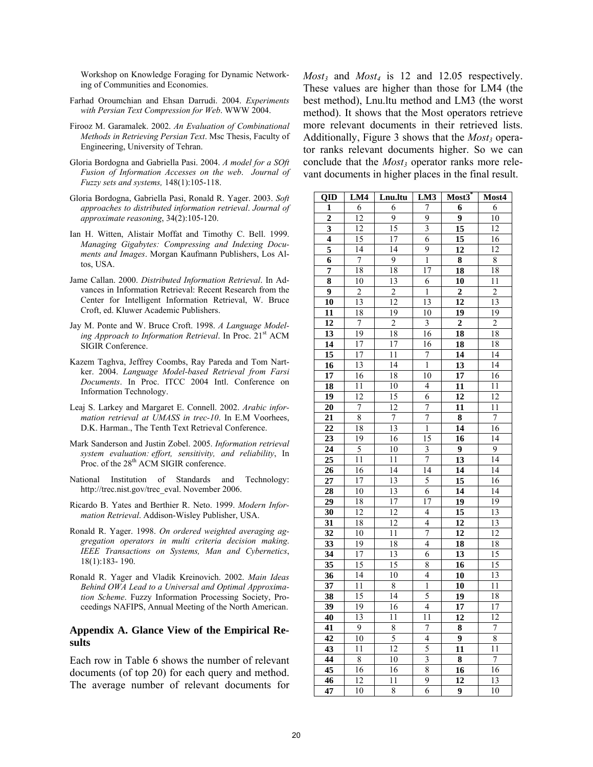Workshop on Knowledge Foraging for Dynamic Networking of Communities and Economies.

- Farhad Oroumchian and Ehsan Darrudi. 2004. *Experiments with Persian Text Compression for Web*. WWW 2004.
- Firooz M. Garamalek. 2002. *An Evaluation of Combinational Methods in Retrieving Persian Text*. Msc Thesis, Faculty of Engineering, University of Tehran.
- Gloria Bordogna and Gabriella Pasi. 2004. *A model for a SOft Fusion of Information Accesses on the web*. *Journal of Fuzzy sets and systems,* 148(1):105-118.
- Gloria Bordogna, Gabriella Pasi, Ronald R. Yager. 2003. *Soft approaches to distributed information retrieval*. *Journal of approximate reasoning*, 34(2):105-120.
- Ian H. Witten, Alistair Moffat and Timothy C. Bell. 1999. *Managing Gigabytes: Compressing and Indexing Documents and Images*. Morgan Kaufmann Publishers, Los Altos, USA.
- Jame Callan. 2000. *Distributed Information Retrieval*. In Advances in Information Retrieval: Recent Research from the Center for Intelligent Information Retrieval, W. Bruce Croft, ed. Kluwer Academic Publishers.
- Jay M. Ponte and W. Bruce Croft. 1998. *A Language Model*ing Approach to Information Retrieval. In Proc. 21<sup>st</sup> ACM SIGIR Conference.
- Kazem Taghva, Jeffrey Coombs, Ray Pareda and Tom Nartker. 2004. *Language Model-based Retrieval from Farsi Documents*. In Proc. ITCC 2004 Intl. Conference on Information Technology.
- Leaj S. Larkey and Margaret E. Connell. 2002. *Arabic information retrieval at UMASS in trec-10*. In E.M Voorhees, D.K. Harman., The Tenth Text Retrieval Conference.
- Mark Sanderson and Justin Zobel. 2005. *Information retrieval system evaluation: effort, sensitivity, and reliability*, In Proc. of the 28<sup>th</sup> ACM SIGIR conference.
- National Institution of Standards and Technology: http://trec.nist.gov/trec\_eval. November 2006.
- Ricardo B. Yates and Berthier R. Neto. 1999. *Modern Information Retrieval*. Addison-Wisley Publisher, USA.
- Ronald R. Yager. 1998. *On ordered weighted averaging aggregation operators in multi criteria decision making*. *IEEE Transactions on Systems, Man and Cybernetics*, 18(1):183- 190.
- Ronald R. Yager and Vladik Kreinovich. 2002. *Main Ideas Behind OWA Lead to a Universal and Optimal Approximation Scheme*. Fuzzy Information Processing Society, Proceedings NAFIPS, Annual Meeting of the North American.

#### **Appendix A. Glance View of the Empirical Results**

Each row in Table 6 shows the number of relevant documents (of top 20) for each query and method. The average number of relevant documents for *Most3* and *Most4* is 12 and 12.05 respectively. These values are higher than those for LM4 (the best method), Lnu.ltu method and LM3 (the worst method). It shows that the Most operators retrieve more relevant documents in their retrieved lists. Additionally, Figure 3 shows that the  $Most_3$  operator ranks relevant documents higher. So we can conclude that the *Most<sub>3</sub>* operator ranks more relevant documents in higher places in the final result.

| QID                     | LM4             | Lnu.ltu          | LM3                     | $Most3^*$          | Most4           |
|-------------------------|-----------------|------------------|-------------------------|--------------------|-----------------|
| 1                       | 6               | 6                | 7                       | 6                  | 6               |
| $\overline{2}$          | $\overline{12}$ | 9                | 9                       | 9                  | 10              |
| $\overline{\mathbf{3}}$ | $\overline{12}$ | $\overline{15}$  | $\overline{\mathbf{3}}$ | $\overline{15}$    | 12              |
| $\overline{\mathbf{4}}$ | $\overline{15}$ | $\overline{17}$  | 6                       | $\overline{15}$    | $\overline{16}$ |
| 5                       | 14              | 14               | 9                       | 12                 | $\overline{12}$ |
| 6                       | 7               | $\overline{9}$   | $\mathbf{1}$            | $\overline{\bf 8}$ | 8               |
| $\overline{7}$          | 18              | $\overline{18}$  | $\overline{17}$         | $\overline{18}$    | 18              |
| $\overline{\bf 8}$      | 10              | 13               | 6                       | $\overline{10}$    | 11              |
| $\overline{9}$          | $\overline{c}$  | $\overline{2}$   | $\mathbf{1}$            | $\mathbf 2$        | $\overline{2}$  |
| $\overline{10}$         | $\overline{13}$ | $\overline{12}$  | $\overline{13}$         | $\overline{12}$    | 13              |
| 11                      | 18              | 19               | 10                      | 19                 | 19              |
| $\overline{12}$         | $\sqrt{ }$      | $\overline{2}$   | 3                       | $\overline{c}$     | $\overline{2}$  |
| $\overline{13}$         | 19              | 18               | 16                      | 18                 | 18              |
| 14                      | 17              | 17               | 16                      | $\overline{18}$    | $\overline{18}$ |
| $\overline{15}$         | 17              | 11               | 7                       | $\overline{14}$    | $\overline{14}$ |
| 16                      | $\overline{13}$ | 14               | $\,1$                   | $\overline{13}$    | 14              |
| $\overline{17}$         | 16              | 18               | 10                      | $\overline{17}$    | 16              |
| 18                      | 11              | 10               | $\overline{4}$          | 11                 | 11              |
| 19                      | 12              | $\overline{15}$  | 6                       | 12                 | 12              |
| 20                      | $\overline{7}$  | $\overline{12}$  | 7                       | 11                 | 11              |
| $\overline{21}$         | $\overline{8}$  | $\boldsymbol{7}$ | $\overline{7}$          | $\overline{\bf 8}$ | $\sqrt{ }$      |
| $\overline{22}$         | 18              | 13               | $\mathbf{1}$            | $\overline{14}$    | 16              |
| 23                      | 19              | $\overline{16}$  | $\overline{15}$         | $\overline{16}$    | 14              |
| $\overline{24}$         | 5               | 10               | $\overline{\mathbf{3}}$ | 9                  | 9               |
| 25                      | $\overline{11}$ | 11               | 7                       | 13                 | 14              |
| 26                      | 16              | 14               | 14                      | $\overline{14}$    | 14              |
| 27                      | 17              | 13               | 5                       | $\overline{15}$    | 16              |
| 28                      | 10              | $\overline{13}$  | 6                       | $\overline{14}$    | 14              |
| $\overline{29}$         | 18              | 17               | 17                      | 19                 | $\overline{19}$ |
| 30                      | 12              | 12               | 4                       | $\overline{15}$    | 13              |
| $\overline{31}$         | $\overline{18}$ | $\overline{12}$  | $\overline{4}$          | $\overline{12}$    | $\overline{13}$ |
| $\overline{32}$         | 10              | $\overline{11}$  | 7                       | $\overline{12}$    | $\overline{12}$ |
| $\overline{33}$         | 19              | 18               | $\overline{4}$          | $\overline{18}$    | 18              |
| $\overline{34}$         | $\overline{17}$ | 13               | 6                       | $\overline{13}$    | $\overline{15}$ |
| 35                      | 15              | 15               | 8                       | 16                 | $\overline{15}$ |
| 36                      | 14              | 10               | $\overline{4}$          | 10                 | $\overline{13}$ |
| $\overline{37}$         | 11              | 8                | $\,1$                   | 10                 | 11              |
| $\overline{38}$         | $\overline{15}$ | 14               | 5                       | $\overline{19}$    | $\overline{18}$ |
| 39                      | 19              | 16               | $\overline{4}$          | 17                 | 17              |
| 40                      | 13              | 11               | 11                      | 12                 | 12              |
| 41                      | 9               | 8                | 7                       | $\overline{\bf 8}$ | 7               |
| $\overline{42}$         | 10              | 5                | $\overline{4}$          | 9                  | $\overline{8}$  |
| $\overline{43}$         | $\overline{11}$ | $\overline{12}$  | 5                       | 11                 | $\overline{11}$ |
| $\overline{44}$         | 8               | 10               | $\overline{\mathbf{3}}$ | 8                  | $\overline{7}$  |
| 45                      | 16              | 16               | 8                       | 16                 | 16              |
| $\overline{46}$         | $\overline{12}$ | $\overline{11}$  | 9                       | $\overline{12}$    | 13              |
| $\overline{47}$         | $\overline{10}$ | 8                | 6                       | 9                  | 10              |